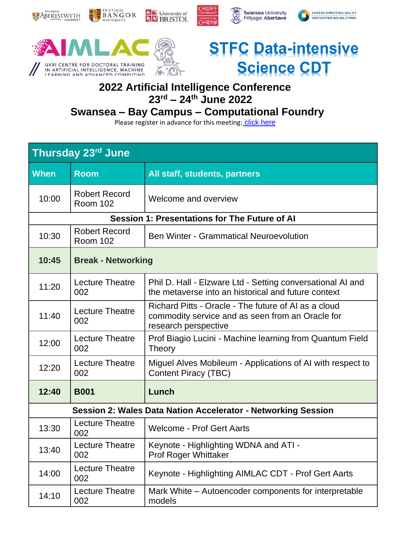

Swansea University

SUPERCOMPUTING WALES

PRIFYSCOL

### **2022 Artificial Intelligence Conference 23rd – 24th June 2022**

### **Swansea – Bay Campus – Computational Foundry**

| Thursday 23rd June                                            |                                         |                                                                                                                                  |  |  |
|---------------------------------------------------------------|-----------------------------------------|----------------------------------------------------------------------------------------------------------------------------------|--|--|
| <b>When</b>                                                   | <b>Room</b>                             | All staff, students, partners                                                                                                    |  |  |
| 10:00                                                         | <b>Robert Record</b><br><b>Room 102</b> | Welcome and overview                                                                                                             |  |  |
| <b>Session 1: Presentations for The Future of AI</b>          |                                         |                                                                                                                                  |  |  |
| 10:30                                                         | <b>Robert Record</b><br><b>Room 102</b> | <b>Ben Winter - Grammatical Neuroevolution</b>                                                                                   |  |  |
| 10:45                                                         | <b>Break - Networking</b>               |                                                                                                                                  |  |  |
| 11:20                                                         | <b>Lecture Theatre</b><br>002           | Phil D. Hall - Elzware Ltd - Setting conversational AI and<br>the metaverse into an historical and future context                |  |  |
| 11:40                                                         | <b>Lecture Theatre</b><br>002           | Richard Pitts - Oracle - The future of AI as a cloud<br>commodity service and as seen from an Oracle for<br>research perspective |  |  |
| 12:00                                                         | <b>Lecture Theatre</b><br>002           | Prof Biagio Lucini - Machine learning from Quantum Field<br><b>Theory</b>                                                        |  |  |
| 12:20                                                         | <b>Lecture Theatre</b><br>002           | Miguel Alves Mobileum - Applications of AI with respect to<br><b>Content Piracy (TBC)</b>                                        |  |  |
| 12:40                                                         | <b>B001</b>                             | Lunch                                                                                                                            |  |  |
| Session 2: Wales Data Nation Accelerator - Networking Session |                                         |                                                                                                                                  |  |  |
| 13:30                                                         | <b>Lecture Theatre</b><br>002           | <b>Welcome - Prof Gert Aarts</b>                                                                                                 |  |  |
| 13:40                                                         | <b>Lecture Theatre</b><br>002           | Keynote - Highlighting WDNA and ATI -<br><b>Prof Roger Whittaker</b>                                                             |  |  |
| 14:00                                                         | Lecture Theatre<br>002                  | Keynote - Highlighting AIMLAC CDT - Prof Gert Aarts                                                                              |  |  |
| 14:10                                                         | <b>Lecture Theatre</b><br>002           | Mark White – Autoencoder components for interpretable<br>models                                                                  |  |  |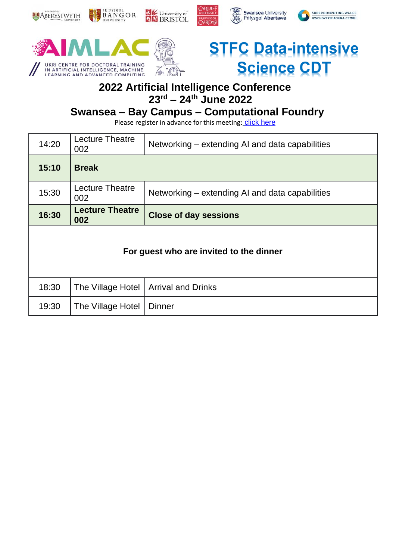

Swansea University

SUPERCOMPUTING WALES

o

PRIFYSCOL

# **2022 Artificial Intelligence Conference 23rd – 24th June 2022**

### **Swansea – Bay Campus – Computational Foundry**

| 14:20                                   | Lecture Theatre<br>002        | Networking – extending AI and data capabilities |  |  |
|-----------------------------------------|-------------------------------|-------------------------------------------------|--|--|
| 15:10                                   | <b>Break</b>                  |                                                 |  |  |
| 15:30                                   | Lecture Theatre<br>002        | Networking – extending AI and data capabilities |  |  |
| 16:30                                   | <b>Lecture Theatre</b><br>002 | <b>Close of day sessions</b>                    |  |  |
| For guest who are invited to the dinner |                               |                                                 |  |  |
| 18:30                                   | The Village Hotel             | <b>Arrival and Drinks</b>                       |  |  |
| 19:30                                   | The Village Hotel             | <b>Dinner</b>                                   |  |  |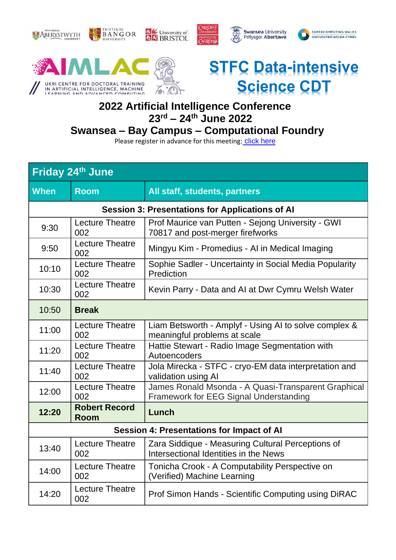





## **2022 Artificial Intelligence Conference 23rd – 24th June 2022**

# **Swansea – Bay Campus – Computational Foundry**

| Friday 24th June                                       |                                     |                                                                                               |  |  |
|--------------------------------------------------------|-------------------------------------|-----------------------------------------------------------------------------------------------|--|--|
| <b>When</b>                                            | <b>Room</b>                         | All staff, students, partners                                                                 |  |  |
| <b>Session 3: Presentations for Applications of Al</b> |                                     |                                                                                               |  |  |
| 9:30                                                   | <b>Lecture Theatre</b><br>002       | Prof Maurice van Putten - Sejong University - GWI<br>70817 and post-merger firefworks         |  |  |
| 9:50                                                   | <b>Lecture Theatre</b><br>002       | Mingyu Kim - Promedius - AI in Medical Imaging                                                |  |  |
| 10:10                                                  | <b>Lecture Theatre</b><br>002       | Sophie Sadler - Uncertainty in Social Media Popularity<br>Prediction                          |  |  |
| 10:30                                                  | <b>Lecture Theatre</b><br>002       | Kevin Parry - Data and AI at Dwr Cymru Welsh Water                                            |  |  |
| 10:50                                                  | <b>Break</b>                        |                                                                                               |  |  |
| 11:00                                                  | <b>Lecture Theatre</b><br>002       | Liam Betsworth - Amplyf - Using AI to solve complex &<br>meaningful problems at scale         |  |  |
| 11:20                                                  | <b>Lecture Theatre</b><br>002       | Hattie Stewart - Radio Image Segmentation with<br>Autoencoders                                |  |  |
| 11:40                                                  | <b>Lecture Theatre</b><br>002       | Jola Mirecka - STFC - cryo-EM data interpretation and<br>validation using Al                  |  |  |
| 12:00                                                  | <b>Lecture Theatre</b><br>002       | James Ronald Msonda - A Quasi-Transparent Graphical<br>Framework for EEG Signal Understanding |  |  |
| 12:20                                                  | <b>Robert Record</b><br><b>Room</b> | Lunch                                                                                         |  |  |
| <b>Session 4: Presentations for Impact of AI</b>       |                                     |                                                                                               |  |  |
| 13:40                                                  | <b>Lecture Theatre</b><br>002       | Zara Siddique - Measuring Cultural Perceptions of<br>Intersectional Identities in the News    |  |  |
| 14:00                                                  | <b>Lecture Theatre</b><br>002       | Tonicha Crook - A Computability Perspective on<br>(Verified) Machine Learning                 |  |  |
| 14:20                                                  | <b>Lecture Theatre</b><br>002       | Prof Simon Hands - Scientific Computing using DiRAC                                           |  |  |